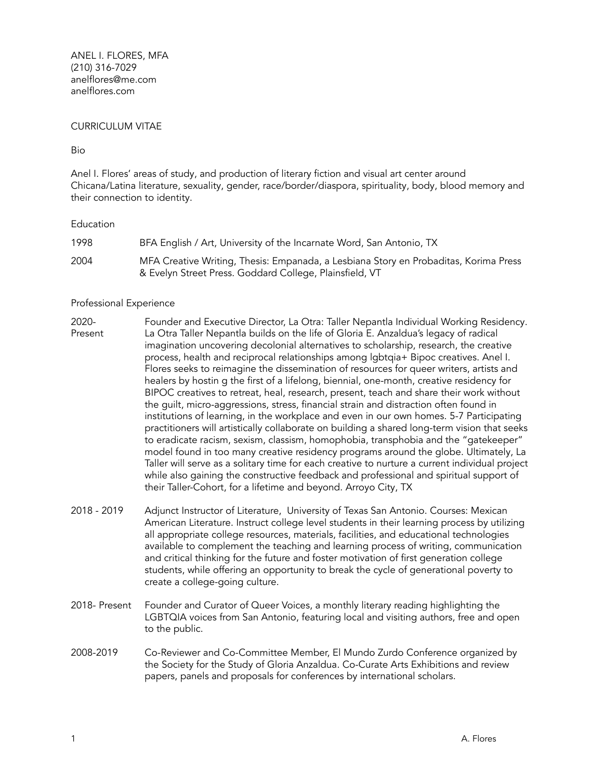ANEL I. FLORES, MFA (210) 316-7029 anelflores@me.com anelflores.com

## CURRICULUM VITAE

Bio

Anel I. Flores' areas of study, and production of literary fiction and visual art center around Chicana/Latina literature, sexuality, gender, race/border/diaspora, spirituality, body, blood memory and their connection to identity.

## **Education**

| 1998 | BFA English / Art, University of the Incarnate Word, San Antonio, TX                                                                            |
|------|-------------------------------------------------------------------------------------------------------------------------------------------------|
| 2004 | MFA Creative Writing, Thesis: Empanada, a Lesbiana Story en Probaditas, Korima Press<br>& Evelyn Street Press. Goddard College, Plainsfield, VT |

## Professional Experience

- 2020- Present Founder and Executive Director, La Otra: Taller Nepantla Individual Working Residency. La Otra Taller Nepantla builds on the life of Gloria E. Anzaldua's legacy of radical imagination uncovering decolonial alternatives to scholarship, research, the creative process, health and reciprocal relationships among lgbtqia+ Bipoc creatives. Anel I. Flores seeks to reimagine the dissemination of resources for queer writers, artists and healers by hostin g the first of a lifelong, biennial, one-month, creative residency for BIPOC creatives to retreat, heal, research, present, teach and share their work without the guilt, micro-aggressions, stress, financial strain and distraction often found in institutions of learning, in the workplace and even in our own homes. 5-7 Participating practitioners will artistically collaborate on building a shared long-term vision that seeks to eradicate racism, sexism, classism, homophobia, transphobia and the "gatekeeper" model found in too many creative residency programs around the globe. Ultimately, La Taller will serve as a solitary time for each creative to nurture a current individual project while also gaining the constructive feedback and professional and spiritual support of their Taller-Cohort, for a lifetime and beyond. Arroyo City, TX
- 2018 2019 Adjunct Instructor of Literature, University of Texas San Antonio. Courses: Mexican American Literature. Instruct college level students in their learning process by utilizing all appropriate college resources, materials, facilities, and educational technologies available to complement the teaching and learning process of writing, communication and critical thinking for the future and foster motivation of first generation college students, while offering an opportunity to break the cycle of generational poverty to create a college-going culture.
- 2018- Present Founder and Curator of Queer Voices, a monthly literary reading highlighting the LGBTQIA voices from San Antonio, featuring local and visiting authors, free and open to the public.
- 2008-2019 Co-Reviewer and Co-Committee Member, El Mundo Zurdo Conference organized by the Society for the Study of Gloria Anzaldua. Co-Curate Arts Exhibitions and review papers, panels and proposals for conferences by international scholars.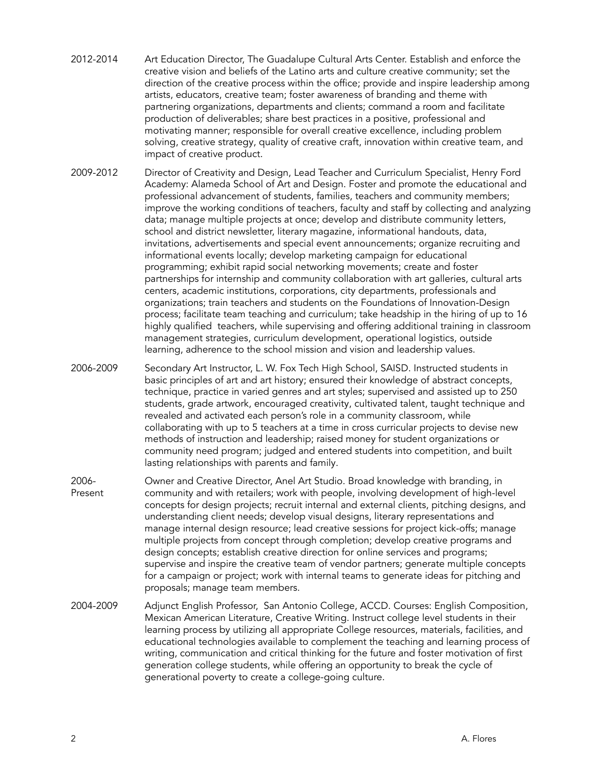- 2012-2014 Art Education Director, The Guadalupe Cultural Arts Center. Establish and enforce the creative vision and beliefs of the Latino arts and culture creative community; set the direction of the creative process within the office; provide and inspire leadership among artists, educators, creative team; foster awareness of branding and theme with partnering organizations, departments and clients; command a room and facilitate production of deliverables; share best practices in a positive, professional and motivating manner; responsible for overall creative excellence, including problem solving, creative strategy, quality of creative craft, innovation within creative team, and impact of creative product.
- 2009-2012 Director of Creativity and Design, Lead Teacher and Curriculum Specialist, Henry Ford Academy: Alameda School of Art and Design. Foster and promote the educational and professional advancement of students, families, teachers and community members; improve the working conditions of teachers, faculty and staff by collecting and analyzing data; manage multiple projects at once; develop and distribute community letters, school and district newsletter, literary magazine, informational handouts, data, invitations, advertisements and special event announcements; organize recruiting and informational events locally; develop marketing campaign for educational programming; exhibit rapid social networking movements; create and foster partnerships for internship and community collaboration with art galleries, cultural arts centers, academic institutions, corporations, city departments, professionals and organizations; train teachers and students on the Foundations of Innovation-Design process; facilitate team teaching and curriculum; take headship in the hiring of up to 16 highly qualified teachers, while supervising and offering additional training in classroom management strategies, curriculum development, operational logistics, outside learning, adherence to the school mission and vision and leadership values.
- 2006-2009 Secondary Art Instructor, L. W. Fox Tech High School, SAISD. Instructed students in basic principles of art and art history; ensured their knowledge of abstract concepts, technique, practice in varied genres and art styles; supervised and assisted up to 250 students, grade artwork, encouraged creativity, cultivated talent, taught technique and revealed and activated each person's role in a community classroom, while collaborating with up to 5 teachers at a time in cross curricular projects to devise new methods of instruction and leadership; raised money for student organizations or community need program; judged and entered students into competition, and built lasting relationships with parents and family.
- 2006- Present Owner and Creative Director, Anel Art Studio. Broad knowledge with branding, in community and with retailers; work with people, involving development of high-level concepts for design projects; recruit internal and external clients, pitching designs, and understanding client needs; develop visual designs, literary representations and manage internal design resource; lead creative sessions for project kick-offs; manage multiple projects from concept through completion; develop creative programs and design concepts; establish creative direction for online services and programs; supervise and inspire the creative team of vendor partners; generate multiple concepts for a campaign or project; work with internal teams to generate ideas for pitching and proposals; manage team members.
- 2004-2009 Adjunct English Professor, San Antonio College, ACCD. Courses: English Composition, Mexican American Literature, Creative Writing. Instruct college level students in their learning process by utilizing all appropriate College resources, materials, facilities, and educational technologies available to complement the teaching and learning process of writing, communication and critical thinking for the future and foster motivation of first generation college students, while offering an opportunity to break the cycle of generational poverty to create a college-going culture.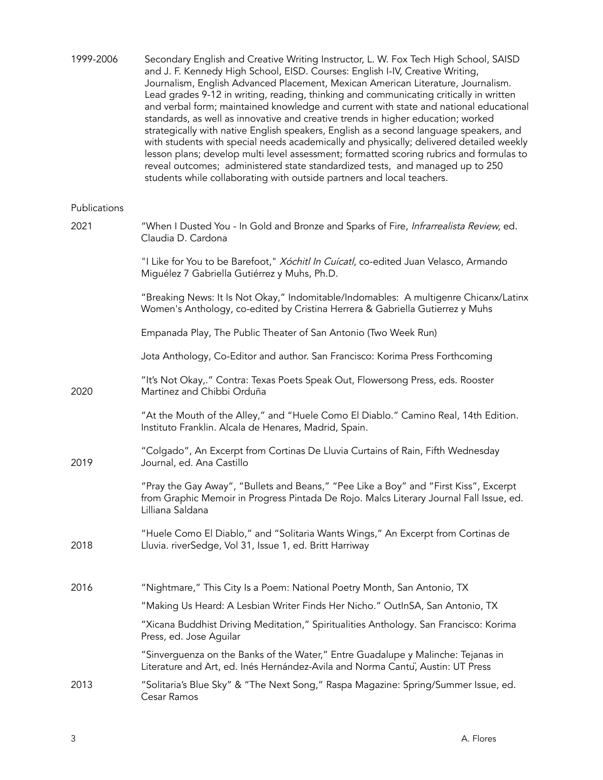| 1999-2006    | Secondary English and Creative Writing Instructor, L. W. Fox Tech High School, SAISD<br>and J. F. Kennedy High School, EISD. Courses: English I-IV, Creative Writing,<br>Journalism, English Advanced Placement, Mexican American Literature, Journalism.<br>Lead grades 9-12 in writing, reading, thinking and communicating critically in written<br>and verbal form; maintained knowledge and current with state and national educational<br>standards, as well as innovative and creative trends in higher education; worked<br>strategically with native English speakers, English as a second language speakers, and<br>with students with special needs academically and physically; delivered detailed weekly<br>lesson plans; develop multi level assessment; formatted scoring rubrics and formulas to<br>reveal outcomes; administered state standardized tests, and managed up to 250<br>students while collaborating with outside partners and local teachers. |
|--------------|-----------------------------------------------------------------------------------------------------------------------------------------------------------------------------------------------------------------------------------------------------------------------------------------------------------------------------------------------------------------------------------------------------------------------------------------------------------------------------------------------------------------------------------------------------------------------------------------------------------------------------------------------------------------------------------------------------------------------------------------------------------------------------------------------------------------------------------------------------------------------------------------------------------------------------------------------------------------------------|
| Publications |                                                                                                                                                                                                                                                                                                                                                                                                                                                                                                                                                                                                                                                                                                                                                                                                                                                                                                                                                                             |
| 2021         | "When I Dusted You - In Gold and Bronze and Sparks of Fire, Infrarrealista Review, ed.<br>Claudia D. Cardona                                                                                                                                                                                                                                                                                                                                                                                                                                                                                                                                                                                                                                                                                                                                                                                                                                                                |
|              | "I Like for You to be Barefoot," Xóchitl In Cuícatl, co-edited Juan Velasco, Armando<br>Miguélez 7 Gabriella Gutiérrez y Muhs, Ph.D.                                                                                                                                                                                                                                                                                                                                                                                                                                                                                                                                                                                                                                                                                                                                                                                                                                        |
|              | "Breaking News: It Is Not Okay," Indomitable/Indomables: A multigenre Chicanx/Latinx<br>Women's Anthology, co-edited by Cristina Herrera & Gabriella Gutierrez y Muhs                                                                                                                                                                                                                                                                                                                                                                                                                                                                                                                                                                                                                                                                                                                                                                                                       |
|              | Empanada Play, The Public Theater of San Antonio (Two Week Run)                                                                                                                                                                                                                                                                                                                                                                                                                                                                                                                                                                                                                                                                                                                                                                                                                                                                                                             |
|              | Jota Anthology, Co-Editor and author. San Francisco: Korima Press Forthcoming                                                                                                                                                                                                                                                                                                                                                                                                                                                                                                                                                                                                                                                                                                                                                                                                                                                                                               |
| 2020         | "It's Not Okay,." Contra: Texas Poets Speak Out, Flowersong Press, eds. Rooster<br>Martinez and Chibbi Orduña                                                                                                                                                                                                                                                                                                                                                                                                                                                                                                                                                                                                                                                                                                                                                                                                                                                               |
|              | "At the Mouth of the Alley," and "Huele Como El Diablo." Camino Real, 14th Edition.<br>Instituto Franklin. Alcala de Henares, Madrid, Spain.                                                                                                                                                                                                                                                                                                                                                                                                                                                                                                                                                                                                                                                                                                                                                                                                                                |
| 2019         | "Colgado", An Excerpt from Cortinas De Lluvia Curtains of Rain, Fifth Wednesday<br>Journal, ed. Ana Castillo                                                                                                                                                                                                                                                                                                                                                                                                                                                                                                                                                                                                                                                                                                                                                                                                                                                                |
|              | "Pray the Gay Away", "Bullets and Beans," "Pee Like a Boy" and "First Kiss", Excerpt<br>from Graphic Memoir in Progress Pintada De Rojo. Malcs Literary Journal Fall Issue, ed.<br>Lilliana Saldana                                                                                                                                                                                                                                                                                                                                                                                                                                                                                                                                                                                                                                                                                                                                                                         |
| 2018         | "Huele Como El Diablo," and "Solitaria Wants Wings," An Excerpt from Cortinas de<br>Lluvia. riverSedge, Vol 31, Issue 1, ed. Britt Harriway                                                                                                                                                                                                                                                                                                                                                                                                                                                                                                                                                                                                                                                                                                                                                                                                                                 |
| 2016         | "Nightmare," This City Is a Poem: National Poetry Month, San Antonio, TX                                                                                                                                                                                                                                                                                                                                                                                                                                                                                                                                                                                                                                                                                                                                                                                                                                                                                                    |
|              | "Making Us Heard: A Lesbian Writer Finds Her Nicho." OutlnSA, San Antonio, TX                                                                                                                                                                                                                                                                                                                                                                                                                                                                                                                                                                                                                                                                                                                                                                                                                                                                                               |
|              | "Xicana Buddhist Driving Meditation," Spiritualities Anthology. San Francisco: Korima<br>Press, ed. Jose Aguilar                                                                                                                                                                                                                                                                                                                                                                                                                                                                                                                                                                                                                                                                                                                                                                                                                                                            |
|              | "Sinverguenza on the Banks of the Water," Entre Guadalupe y Malinche: Tejanas in<br>Literature and Art, ed. Inés Hernández-Avila and Norma Cantu, Austin: UT Press                                                                                                                                                                                                                                                                                                                                                                                                                                                                                                                                                                                                                                                                                                                                                                                                          |
| 2013         | "Solitaria's Blue Sky" & "The Next Song," Raspa Magazine: Spring/Summer Issue, ed.<br>Cesar Ramos                                                                                                                                                                                                                                                                                                                                                                                                                                                                                                                                                                                                                                                                                                                                                                                                                                                                           |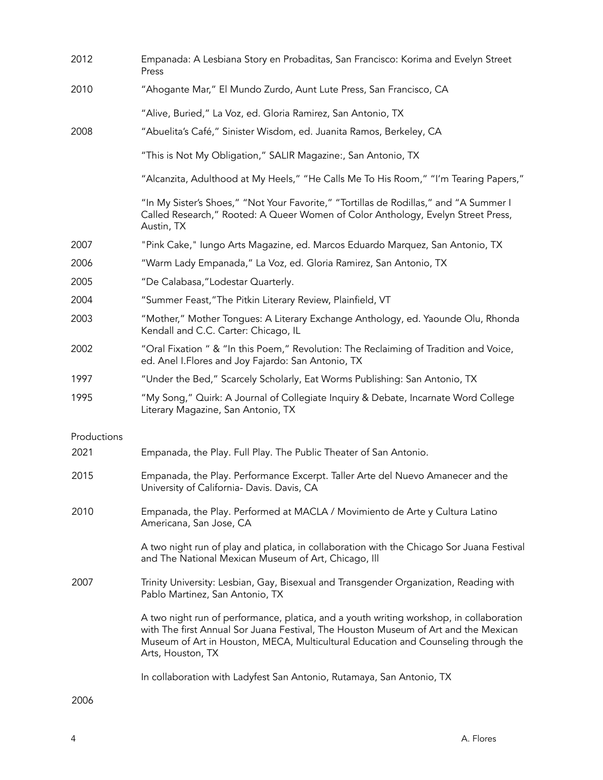| 2012        | Empanada: A Lesbiana Story en Probaditas, San Francisco: Korima and Evelyn Street<br>Press                                                                                                                                                                                                |
|-------------|-------------------------------------------------------------------------------------------------------------------------------------------------------------------------------------------------------------------------------------------------------------------------------------------|
| 2010        | "Ahogante Mar," El Mundo Zurdo, Aunt Lute Press, San Francisco, CA                                                                                                                                                                                                                        |
|             | "Alive, Buried," La Voz, ed. Gloria Ramirez, San Antonio, TX                                                                                                                                                                                                                              |
| 2008        | "Abuelita's Café," Sinister Wisdom, ed. Juanita Ramos, Berkeley, CA                                                                                                                                                                                                                       |
|             | "This is Not My Obligation," SALIR Magazine:, San Antonio, TX                                                                                                                                                                                                                             |
|             | "Alcanzita, Adulthood at My Heels," "He Calls Me To His Room," "I'm Tearing Papers,"                                                                                                                                                                                                      |
|             | "In My Sister's Shoes," "Not Your Favorite," "Tortillas de Rodillas," and "A Summer I<br>Called Research," Rooted: A Queer Women of Color Anthology, Evelyn Street Press,<br>Austin, TX                                                                                                   |
| 2007        | "Pink Cake," lungo Arts Magazine, ed. Marcos Eduardo Marquez, San Antonio, TX                                                                                                                                                                                                             |
| 2006        | "Warm Lady Empanada," La Voz, ed. Gloria Ramirez, San Antonio, TX                                                                                                                                                                                                                         |
| 2005        | "De Calabasa, "Lodestar Quarterly.                                                                                                                                                                                                                                                        |
| 2004        | "Summer Feast, "The Pitkin Literary Review, Plainfield, VT                                                                                                                                                                                                                                |
| 2003        | "Mother," Mother Tongues: A Literary Exchange Anthology, ed. Yaounde Olu, Rhonda<br>Kendall and C.C. Carter: Chicago, IL                                                                                                                                                                  |
| 2002        | "Oral Fixation " & "In this Poem," Revolution: The Reclaiming of Tradition and Voice,<br>ed. Anel I. Flores and Joy Fajardo: San Antonio, TX                                                                                                                                              |
| 1997        | "Under the Bed," Scarcely Scholarly, Eat Worms Publishing: San Antonio, TX                                                                                                                                                                                                                |
| 1995        | "My Song," Quirk: A Journal of Collegiate Inquiry & Debate, Incarnate Word College<br>Literary Magazine, San Antonio, TX                                                                                                                                                                  |
| Productions |                                                                                                                                                                                                                                                                                           |
| 2021        | Empanada, the Play. Full Play. The Public Theater of San Antonio.                                                                                                                                                                                                                         |
| 2015        | Empanada, the Play. Performance Excerpt. Taller Arte del Nuevo Amanecer and the<br>University of California- Davis. Davis, CA                                                                                                                                                             |
| 2010        | Empanada, the Play. Performed at MACLA / Movimiento de Arte y Cultura Latino<br>Americana, San Jose, CA                                                                                                                                                                                   |
|             | A two night run of play and platica, in collaboration with the Chicago Sor Juana Festival<br>and The National Mexican Museum of Art, Chicago, Ill                                                                                                                                         |
| 2007        | Trinity University: Lesbian, Gay, Bisexual and Transgender Organization, Reading with<br>Pablo Martinez, San Antonio, TX                                                                                                                                                                  |
|             | A two night run of performance, platica, and a youth writing workshop, in collaboration<br>with The first Annual Sor Juana Festival, The Houston Museum of Art and the Mexican<br>Museum of Art in Houston, MECA, Multicultural Education and Counseling through the<br>Arts, Houston, TX |
|             | In collaboration with Ladyfest San Antonio, Rutamaya, San Antonio, TX                                                                                                                                                                                                                     |

2006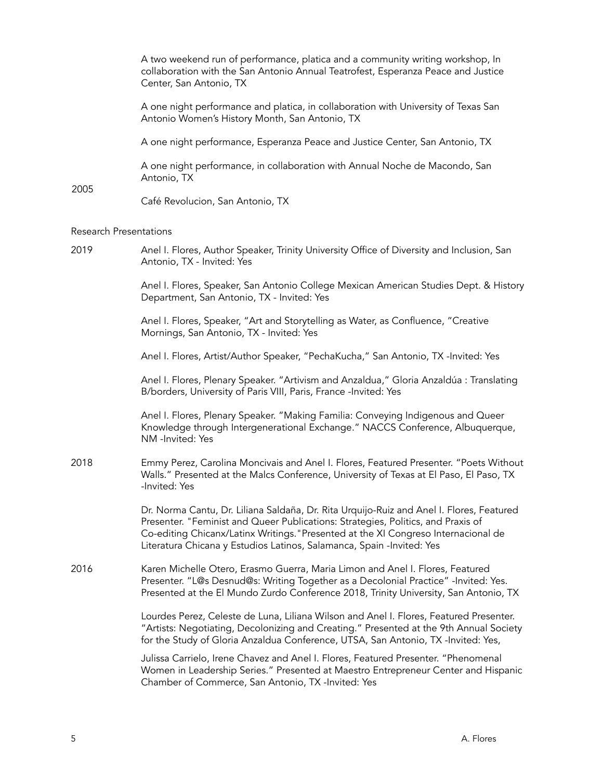|                               | A two weekend run of performance, platica and a community writing workshop, In<br>collaboration with the San Antonio Annual Teatrofest, Esperanza Peace and Justice<br>Center, San Antonio, TX                                                                                                                                              |
|-------------------------------|---------------------------------------------------------------------------------------------------------------------------------------------------------------------------------------------------------------------------------------------------------------------------------------------------------------------------------------------|
|                               | A one night performance and platica, in collaboration with University of Texas San<br>Antonio Women's History Month, San Antonio, TX                                                                                                                                                                                                        |
|                               | A one night performance, Esperanza Peace and Justice Center, San Antonio, TX                                                                                                                                                                                                                                                                |
|                               | A one night performance, in collaboration with Annual Noche de Macondo, San<br>Antonio, TX                                                                                                                                                                                                                                                  |
| 2005                          | Café Revolucion, San Antonio, TX                                                                                                                                                                                                                                                                                                            |
| <b>Research Presentations</b> |                                                                                                                                                                                                                                                                                                                                             |
| 2019                          | Anel I. Flores, Author Speaker, Trinity University Office of Diversity and Inclusion, San<br>Antonio, TX - Invited: Yes                                                                                                                                                                                                                     |
|                               | Anel I. Flores, Speaker, San Antonio College Mexican American Studies Dept. & History<br>Department, San Antonio, TX - Invited: Yes                                                                                                                                                                                                         |
|                               | Anel I. Flores, Speaker, "Art and Storytelling as Water, as Confluence, "Creative<br>Mornings, San Antonio, TX - Invited: Yes                                                                                                                                                                                                               |
|                               | Anel I. Flores, Artist/Author Speaker, "PechaKucha," San Antonio, TX -Invited: Yes                                                                                                                                                                                                                                                          |
|                               | Anel I. Flores, Plenary Speaker. "Artivism and Anzaldua," Gloria Anzaldúa : Translating<br>B/borders, University of Paris VIII, Paris, France -Invited: Yes                                                                                                                                                                                 |
|                               | Anel I. Flores, Plenary Speaker. "Making Familia: Conveying Indigenous and Queer<br>Knowledge through Intergenerational Exchange." NACCS Conference, Albuquerque,<br>NM -Invited: Yes                                                                                                                                                       |
| 2018                          | Emmy Perez, Carolina Moncivais and Anel I. Flores, Featured Presenter. "Poets Without<br>Walls." Presented at the Malcs Conference, University of Texas at El Paso, El Paso, TX<br>-Invited: Yes                                                                                                                                            |
|                               | Dr. Norma Cantu, Dr. Liliana Saldaña, Dr. Rita Urquijo-Ruiz and Anel I. Flores, Featured<br>Presenter. "Feminist and Queer Publications: Strategies, Politics, and Praxis of<br>Co-editing Chicanx/Latinx Writings." Presented at the XI Congreso Internacional de<br>Literatura Chicana y Estudios Latinos, Salamanca, Spain -Invited: Yes |
| 2016                          | Karen Michelle Otero, Erasmo Guerra, Maria Limon and Anel I. Flores, Featured<br>Presenter. "L@s Desnud@s: Writing Together as a Decolonial Practice" -Invited: Yes.<br>Presented at the El Mundo Zurdo Conference 2018, Trinity University, San Antonio, TX                                                                                |
|                               | Lourdes Perez, Celeste de Luna, Liliana Wilson and Anel I. Flores, Featured Presenter.<br>"Artists: Negotiating, Decolonizing and Creating." Presented at the 9th Annual Society<br>for the Study of Gloria Anzaldua Conference, UTSA, San Antonio, TX -Invited: Yes,                                                                       |
|                               | Julissa Carrielo, Irene Chavez and Anel I. Flores, Featured Presenter. "Phenomenal<br>Women in Leadership Series." Presented at Maestro Entrepreneur Center and Hispanic<br>Chamber of Commerce, San Antonio, TX -Invited: Yes                                                                                                              |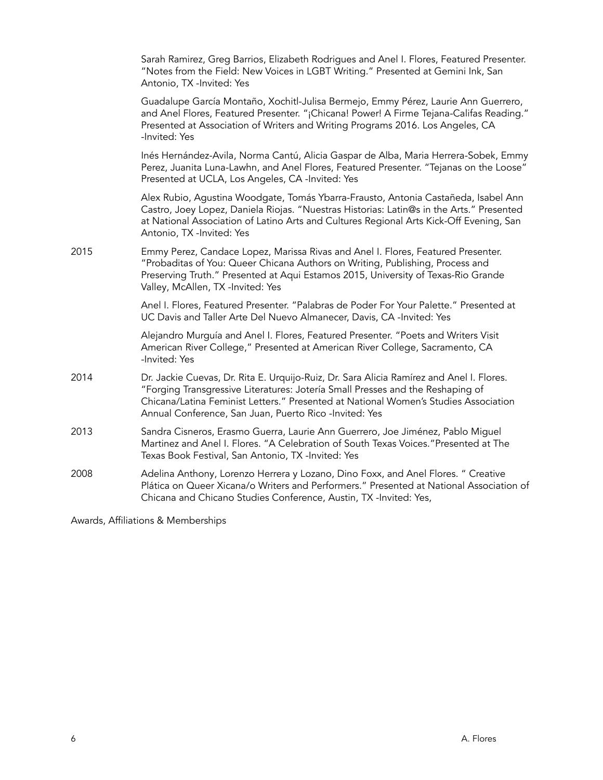|      | Sarah Ramirez, Greg Barrios, Elizabeth Rodrigues and Anel I. Flores, Featured Presenter.<br>"Notes from the Field: New Voices in LGBT Writing." Presented at Gemini Ink, San<br>Antonio, TX -Invited: Yes                                                                                                                   |
|------|-----------------------------------------------------------------------------------------------------------------------------------------------------------------------------------------------------------------------------------------------------------------------------------------------------------------------------|
|      | Guadalupe García Montaño, Xochitl-Julisa Bermejo, Emmy Pérez, Laurie Ann Guerrero,<br>and Anel Flores, Featured Presenter. "¡Chicana! Power! A Firme Tejana-Califas Reading."<br>Presented at Association of Writers and Writing Programs 2016. Los Angeles, CA<br>-Invited: Yes                                            |
|      | Inés Hernández-Avila, Norma Cantú, Alicia Gaspar de Alba, Maria Herrera-Sobek, Emmy<br>Perez, Juanita Luna-Lawhn, and Anel Flores, Featured Presenter. "Tejanas on the Loose"<br>Presented at UCLA, Los Angeles, CA -Invited: Yes                                                                                           |
|      | Alex Rubio, Agustina Woodgate, Tomás Ybarra-Frausto, Antonia Castañeda, Isabel Ann<br>Castro, Joey Lopez, Daniela Riojas. "Nuestras Historias: Latin@s in the Arts." Presented<br>at National Association of Latino Arts and Cultures Regional Arts Kick-Off Evening, San<br>Antonio, TX -Invited: Yes                      |
| 2015 | Emmy Perez, Candace Lopez, Marissa Rivas and Anel I. Flores, Featured Presenter.<br>"Probaditas of You: Queer Chicana Authors on Writing, Publishing, Process and<br>Preserving Truth." Presented at Aqui Estamos 2015, University of Texas-Rio Grande<br>Valley, McAllen, TX -Invited: Yes                                 |
|      | Anel I. Flores, Featured Presenter. "Palabras de Poder For Your Palette." Presented at<br>UC Davis and Taller Arte Del Nuevo Almanecer, Davis, CA -Invited: Yes                                                                                                                                                             |
|      | Alejandro Murguía and Anel I. Flores, Featured Presenter. "Poets and Writers Visit<br>American River College," Presented at American River College, Sacramento, CA<br>-Invited: Yes                                                                                                                                         |
| 2014 | Dr. Jackie Cuevas, Dr. Rita E. Urquijo-Ruiz, Dr. Sara Alicia Ramírez and Anel I. Flores.<br>"Forging Transgressive Literatures: Jotería Small Presses and the Reshaping of<br>Chicana/Latina Feminist Letters." Presented at National Women's Studies Association<br>Annual Conference, San Juan, Puerto Rico -Invited: Yes |
| 2013 | Sandra Cisneros, Erasmo Guerra, Laurie Ann Guerrero, Joe Jiménez, Pablo Miguel<br>Martinez and Anel I. Flores. "A Celebration of South Texas Voices."Presented at The<br>Texas Book Festival, San Antonio, TX -Invited: Yes                                                                                                 |
| 2008 | Adelina Anthony, Lorenzo Herrera y Lozano, Dino Foxx, and Anel Flores. " Creative<br>Plática on Queer Xicana/o Writers and Performers." Presented at National Association of<br>Chicana and Chicano Studies Conference, Austin, TX -Invited: Yes,                                                                           |
|      |                                                                                                                                                                                                                                                                                                                             |

Awards, Affiliations & Memberships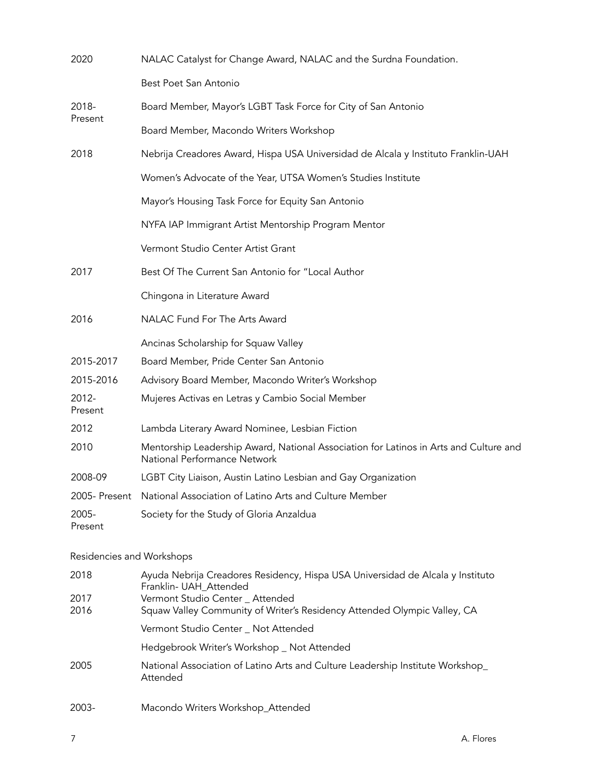| 2020                      | NALAC Catalyst for Change Award, NALAC and the Surdna Foundation.                                                                                                                                                        |
|---------------------------|--------------------------------------------------------------------------------------------------------------------------------------------------------------------------------------------------------------------------|
|                           | Best Poet San Antonio                                                                                                                                                                                                    |
| 2018-<br>Present          | Board Member, Mayor's LGBT Task Force for City of San Antonio                                                                                                                                                            |
|                           | Board Member, Macondo Writers Workshop                                                                                                                                                                                   |
| 2018                      | Nebrija Creadores Award, Hispa USA Universidad de Alcala y Instituto Franklin-UAH                                                                                                                                        |
|                           | Women's Advocate of the Year, UTSA Women's Studies Institute                                                                                                                                                             |
|                           | Mayor's Housing Task Force for Equity San Antonio                                                                                                                                                                        |
|                           | NYFA IAP Immigrant Artist Mentorship Program Mentor                                                                                                                                                                      |
|                           | Vermont Studio Center Artist Grant                                                                                                                                                                                       |
| 2017                      | Best Of The Current San Antonio for "Local Author                                                                                                                                                                        |
|                           | Chingona in Literature Award                                                                                                                                                                                             |
| 2016                      | NALAC Fund For The Arts Award                                                                                                                                                                                            |
|                           | Ancinas Scholarship for Squaw Valley                                                                                                                                                                                     |
| 2015-2017                 | Board Member, Pride Center San Antonio                                                                                                                                                                                   |
| 2015-2016                 | Advisory Board Member, Macondo Writer's Workshop                                                                                                                                                                         |
| 2012-<br>Present          | Mujeres Activas en Letras y Cambio Social Member                                                                                                                                                                         |
| 2012                      | Lambda Literary Award Nominee, Lesbian Fiction                                                                                                                                                                           |
| 2010                      | Mentorship Leadership Award, National Association for Latinos in Arts and Culture and<br>National Performance Network                                                                                                    |
| 2008-09                   | LGBT City Liaison, Austin Latino Lesbian and Gay Organization                                                                                                                                                            |
| 2005- Present             | National Association of Latino Arts and Culture Member                                                                                                                                                                   |
| 2005-<br>Present          | Society for the Study of Gloria Anzaldua                                                                                                                                                                                 |
| Residencies and Workshops |                                                                                                                                                                                                                          |
| 2018<br>2017<br>2016      | Ayuda Nebrija Creadores Residency, Hispa USA Universidad de Alcala y Instituto<br>Franklin- UAH_Attended<br>Vermont Studio Center _ Attended<br>Squaw Valley Community of Writer's Residency Attended Olympic Valley, CA |
|                           | Vermont Studio Center _ Not Attended                                                                                                                                                                                     |
|                           | Hedgebrook Writer's Workshop _ Not Attended                                                                                                                                                                              |
| 2005                      | National Association of Latino Arts and Culture Leadership Institute Workshop_<br>Attended                                                                                                                               |

2003- Macondo Writers Workshop\_Attended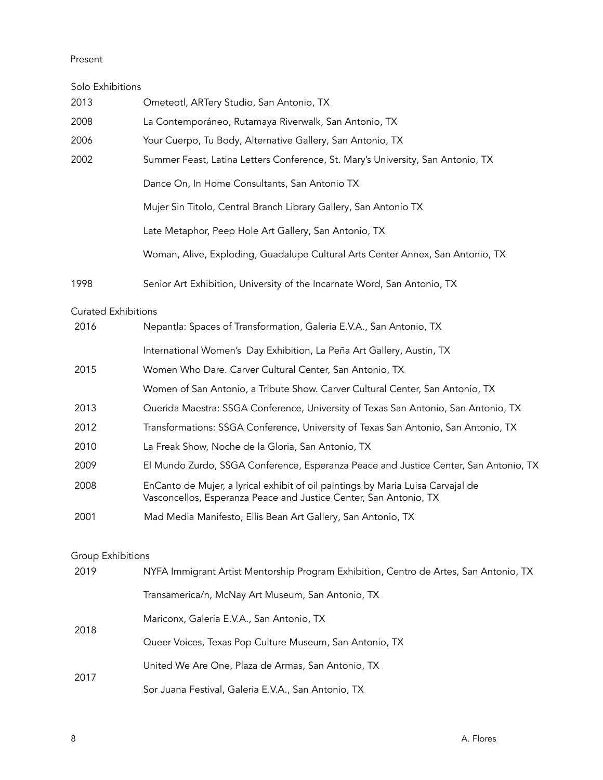## Present

| Solo Exhibitions           |                                                                                                                                                      |
|----------------------------|------------------------------------------------------------------------------------------------------------------------------------------------------|
| 2013                       | Ometeotl, ARTery Studio, San Antonio, TX                                                                                                             |
| 2008                       | La Contemporáneo, Rutamaya Riverwalk, San Antonio, TX                                                                                                |
| 2006                       | Your Cuerpo, Tu Body, Alternative Gallery, San Antonio, TX                                                                                           |
| 2002                       | Summer Feast, Latina Letters Conference, St. Mary's University, San Antonio, TX                                                                      |
|                            | Dance On, In Home Consultants, San Antonio TX                                                                                                        |
|                            | Mujer Sin Titolo, Central Branch Library Gallery, San Antonio TX                                                                                     |
|                            | Late Metaphor, Peep Hole Art Gallery, San Antonio, TX                                                                                                |
|                            | Woman, Alive, Exploding, Guadalupe Cultural Arts Center Annex, San Antonio, TX                                                                       |
| 1998                       | Senior Art Exhibition, University of the Incarnate Word, San Antonio, TX                                                                             |
| <b>Curated Exhibitions</b> |                                                                                                                                                      |
| 2016                       | Nepantla: Spaces of Transformation, Galeria E.V.A., San Antonio, TX                                                                                  |
|                            | International Women's Day Exhibition, La Peña Art Gallery, Austin, TX                                                                                |
| 2015                       | Women Who Dare. Carver Cultural Center, San Antonio, TX                                                                                              |
|                            | Women of San Antonio, a Tribute Show. Carver Cultural Center, San Antonio, TX                                                                        |
| 2013                       | Querida Maestra: SSGA Conference, University of Texas San Antonio, San Antonio, TX                                                                   |
| 2012                       | Transformations: SSGA Conference, University of Texas San Antonio, San Antonio, TX                                                                   |
| 2010                       | La Freak Show, Noche de la Gloria, San Antonio, TX                                                                                                   |
| 2009                       | El Mundo Zurdo, SSGA Conference, Esperanza Peace and Justice Center, San Antonio, TX                                                                 |
| 2008                       | EnCanto de Mujer, a lyrical exhibit of oil paintings by Maria Luisa Carvajal de<br>Vasconcellos, Esperanza Peace and Justice Center, San Antonio, TX |
| 2001                       | Mad Media Manifesto, Ellis Bean Art Gallery, San Antonio, TX                                                                                         |
| <b>Group Exhibitions</b>   |                                                                                                                                                      |
| 2019                       | NYFA Immigrant Artist Mentorship Program Exhibition, Centro de Artes, San Antonio, TX                                                                |
|                            | Transamerica/n, McNay Art Museum, San Antonio, TX                                                                                                    |
| 2018                       | Mariconx, Galeria E.V.A., San Antonio, TX                                                                                                            |
|                            | Queer Voices, Texas Pop Culture Museum, San Antonio, TX                                                                                              |
| 2017                       | United We Are One, Plaza de Armas, San Antonio, TX                                                                                                   |
|                            | Sor Juana Festival, Galeria E.V.A., San Antonio, TX                                                                                                  |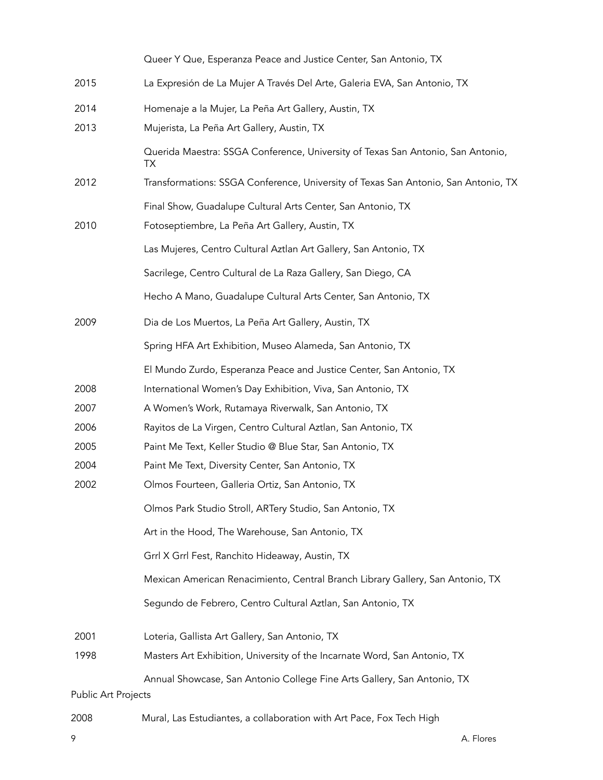|                     | Queer Y Que, Esperanza Peace and Justice Center, San Antonio, TX                      |
|---------------------|---------------------------------------------------------------------------------------|
| 2015                | La Expresión de La Mujer A Través Del Arte, Galeria EVA, San Antonio, TX              |
| 2014                | Homenaje a la Mujer, La Peña Art Gallery, Austin, TX                                  |
| 2013                | Mujerista, La Peña Art Gallery, Austin, TX                                            |
|                     | Querida Maestra: SSGA Conference, University of Texas San Antonio, San Antonio,<br>TX |
| 2012                | Transformations: SSGA Conference, University of Texas San Antonio, San Antonio, TX    |
|                     | Final Show, Guadalupe Cultural Arts Center, San Antonio, TX                           |
| 2010                | Fotoseptiembre, La Peña Art Gallery, Austin, TX                                       |
|                     | Las Mujeres, Centro Cultural Aztlan Art Gallery, San Antonio, TX                      |
|                     | Sacrilege, Centro Cultural de La Raza Gallery, San Diego, CA                          |
|                     | Hecho A Mano, Guadalupe Cultural Arts Center, San Antonio, TX                         |
| 2009                | Dia de Los Muertos, La Peña Art Gallery, Austin, TX                                   |
|                     | Spring HFA Art Exhibition, Museo Alameda, San Antonio, TX                             |
|                     | El Mundo Zurdo, Esperanza Peace and Justice Center, San Antonio, TX                   |
| 2008                | International Women's Day Exhibition, Viva, San Antonio, TX                           |
| 2007                | A Women's Work, Rutamaya Riverwalk, San Antonio, TX                                   |
| 2006                | Rayitos de La Virgen, Centro Cultural Aztlan, San Antonio, TX                         |
| 2005                | Paint Me Text, Keller Studio @ Blue Star, San Antonio, TX                             |
| 2004                | Paint Me Text, Diversity Center, San Antonio, TX                                      |
| 2002                | Olmos Fourteen, Galleria Ortiz, San Antonio, TX                                       |
|                     | Olmos Park Studio Stroll, ARTery Studio, San Antonio, TX                              |
|                     | Art in the Hood, The Warehouse, San Antonio, TX                                       |
|                     | Grrl X Grrl Fest, Ranchito Hideaway, Austin, TX                                       |
|                     | Mexican American Renacimiento, Central Branch Library Gallery, San Antonio, TX        |
|                     | Segundo de Febrero, Centro Cultural Aztlan, San Antonio, TX                           |
| 2001                | Loteria, Gallista Art Gallery, San Antonio, TX                                        |
| 1998                | Masters Art Exhibition, University of the Incarnate Word, San Antonio, TX             |
|                     | Annual Showcase, San Antonio College Fine Arts Gallery, San Antonio, TX               |
| Public Art Projects |                                                                                       |

2008 Mural, Las Estudiantes, a collaboration with Art Pace, Fox Tech High